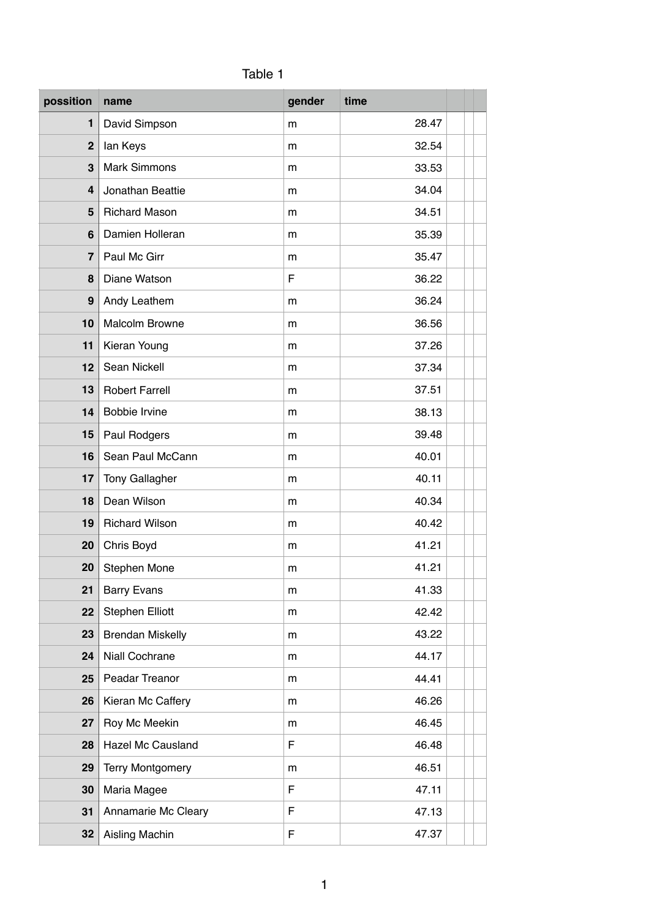| possition      | name                    | gender | time  |  |
|----------------|-------------------------|--------|-------|--|
| $\mathbf{1}$   | David Simpson           | m      | 28.47 |  |
| $\overline{2}$ | lan Keys                | m      | 32.54 |  |
| 3              | <b>Mark Simmons</b>     | m      | 33.53 |  |
| 4              | Jonathan Beattie        | m      | 34.04 |  |
| 5              | <b>Richard Mason</b>    | m      | 34.51 |  |
| 6              | Damien Holleran         | m      | 35.39 |  |
| $\overline{7}$ | Paul Mc Girr            | m      | 35.47 |  |
| 8              | Diane Watson            | F      | 36.22 |  |
| 9              | Andy Leathem            | m      | 36.24 |  |
| 10             | <b>Malcolm Browne</b>   | m      | 36.56 |  |
| 11             | Kieran Young            | m      | 37.26 |  |
| 12             | Sean Nickell            | m      | 37.34 |  |
| 13             | <b>Robert Farrell</b>   | m      | 37.51 |  |
| 14             | Bobbie Irvine           | m      | 38.13 |  |
| 15             | Paul Rodgers            | m      | 39.48 |  |
| 16             | Sean Paul McCann        | m      | 40.01 |  |
| 17             | Tony Gallagher          | m      | 40.11 |  |
| 18             | Dean Wilson             | m      | 40.34 |  |
| 19             | <b>Richard Wilson</b>   | m      | 40.42 |  |
| 20             | Chris Boyd              | m      | 41.21 |  |
| 20             | Stephen Mone            | m      | 41.21 |  |
| 21             | <b>Barry Evans</b>      | m      | 41.33 |  |
| 22             | <b>Stephen Elliott</b>  | m      | 42.42 |  |
| 23             | <b>Brendan Miskelly</b> | m      | 43.22 |  |
| 24             | Niall Cochrane          | m      | 44.17 |  |
| 25             | Peadar Treanor          | m      | 44.41 |  |
| 26             | Kieran Mc Caffery       | m      | 46.26 |  |
| 27             | Roy Mc Meekin           | m      | 46.45 |  |
| 28             | Hazel Mc Causland       | F      | 46.48 |  |
| 29             | <b>Terry Montgomery</b> | m      | 46.51 |  |
| 30             | Maria Magee             | F      | 47.11 |  |
| 31             | Annamarie Mc Cleary     | F      | 47.13 |  |
| 32             | Aisling Machin          | F      | 47.37 |  |

## Table 1